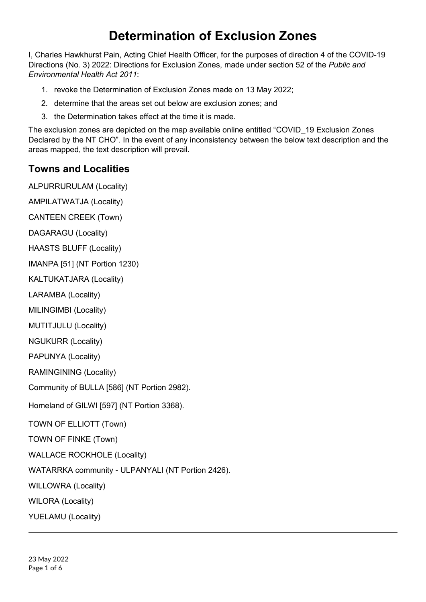# **Determination of Exclusion Zones**

I, Charles Hawkhurst Pain, Acting Chief Health Officer, for the purposes of direction 4 of the COVID-19 Directions (No. 3) 2022: Directions for Exclusion Zones, made under section 52 of the *Public and Environmental Health Act 2011*:

- 1. revoke the Determination of Exclusion Zones made on 13 May 2022;
- 2. determine that the areas set out below are exclusion zones; and
- 3. the Determination takes effect at the time it is made.

The exclusion zones are depicted on the map available online entitled "COVID\_19 Exclusion Zones Declared by the NT CHO". In the event of any inconsistency between the below text description and the areas mapped, the text description will prevail.

### **Towns and Localities**

ALPURRURULAM (Locality)

AMPILATWATJA (Locality) CANTEEN CREEK (Town)

DAGARAGU (Locality)

HAASTS BLUFF (Locality)

IMANPA [51] (NT Portion 1230)

KALTUKATJARA (Locality)

LARAMBA (Locality)

MILINGIMBI (Locality)

MUTITJULU (Locality)

NGUKURR (Locality)

PAPUNYA (Locality)

RAMINGINING (Locality)

Community of BULLA [586] (NT Portion 2982).

Homeland of GILWI [597] (NT Portion 3368).

TOWN OF ELLIOTT (Town)

TOWN OF FINKE (Town)

WALLACE ROCKHOLE (Locality)

WATARRKA community - ULPANYALI (NT Portion 2426).

WILLOWRA (Locality)

WILORA (Locality)

YUELAMU (Locality)

23 May 2022 Page 1 of 6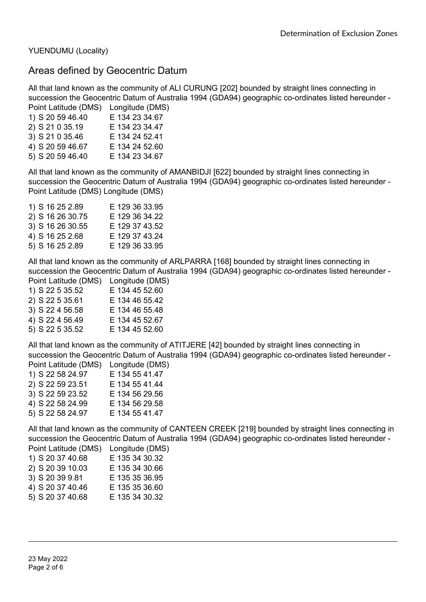YUENDUMU (Locality)

#### Areas defined by Geocentric Datum

All that land known as the community of ALI CURUNG [202] bounded by straight lines connecting in succession the Geocentric Datum of Australia 1994 (GDA94) geographic co-ordinates listed hereunder - Point Latitude (DMS) Longitude (DMS)

|                  | Luigituut (Divit |
|------------------|------------------|
| 1) S 20 59 46.40 | E 134 23 34.67   |
| 2) S 21 0 35.19  | E 134 23 34.47   |
| 3) S 21 0 35.46  | E 134 24 52.41   |
| 4) S 20 59 46.67 | E 134 24 52.60   |
| 5) S 20 59 46.40 | E 134 23 34.67   |
|                  |                  |

All that land known as the community of AMANBIDJI [622] bounded by straight lines connecting in succession the Geocentric Datum of Australia 1994 (GDA94) geographic co-ordinates listed hereunder - Point Latitude (DMS) Longitude (DMS)

| 1) S 16 25 2.89  | E 129 36 33.95 |
|------------------|----------------|
| 2) S 16 26 30.75 | E 129 36 34.22 |
| 3) S 16 26 30.55 | E 129 37 43.52 |
| 4) S 16 25 2.68  | E 129 37 43.24 |
| 5) S 16 25 2.89  | E 129 36 33.95 |
|                  |                |

All that land known as the community of ARLPARRA [168] bounded by straight lines connecting in succession the Geocentric Datum of Australia 1994 (GDA94) geographic co-ordinates listed hereunder - Point Latitude (DMS) Longitude (DMS)

| $\overline{1}$ UIII Lauluut (DIVIO) | Lungitude (Divio |
|-------------------------------------|------------------|
| 1) S 22 5 35.52                     | E 134 45 52.60   |
| 2) S 22 5 35.61                     | E 134 46 55.42   |
| 3) S 22 4 56.58                     | E 134 46 55.48   |
| 4) S 22 4 56.49                     | E 134 45 52.67   |
| 5) S 22 5 35.52                     | E 134 45 52.60   |

All that land known as the community of ATITJERE [42] bounded by straight lines connecting in succession the Geocentric Datum of Australia 1994 (GDA94) geographic co-ordinates listed hereunder - Point Latitude (DMS) Longitude (DMS)

|  | 1) S 22 58 24.97 |  | E 134 55 41.47 |  |
|--|------------------|--|----------------|--|
|  | 2) S 22 59 23.51 |  | E 134 55 41.44 |  |
|  | 3) S 22 59 23.52 |  | E 134 56 29.56 |  |
|  | 4) S 22 58 24.99 |  | E 134 56 29.58 |  |
|  | 5) S 22 58 24.97 |  | E 134 55 41.47 |  |
|  |                  |  |                |  |

All that land known as the community of CANTEEN CREEK [219] bounded by straight lines connecting in succession the Geocentric Datum of Australia 1994 (GDA94) geographic co-ordinates listed hereunder - Point Latitude (DMS) Longitude (DMS)

| Point Latitude (DMS) | Longitude (DMS |
|----------------------|----------------|
| 1) S 20 37 40.68     | E 135 34 30.32 |
| 2) S 20 39 10.03     | E 135 34 30.66 |
| 3) S 20 39 9.81      | E 135 35 36.95 |
| 4) S 20 37 40.46     | E 135 35 36.60 |
| 5) S 20 37 40.68     | E 135 34 30.32 |
|                      |                |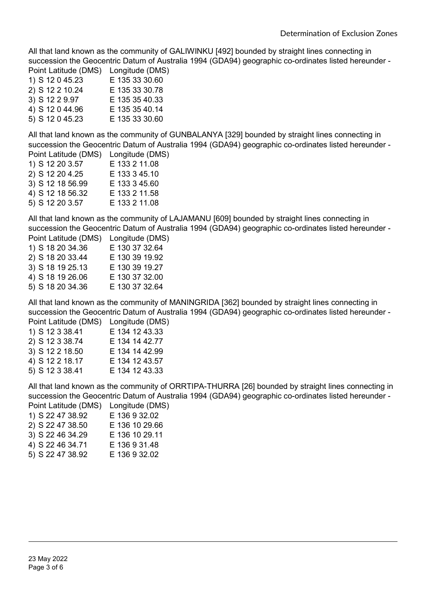All that land known as the community of GALIWINKU [492] bounded by straight lines connecting in succession the Geocentric Datum of Australia 1994 (GDA94) geographic co-ordinates listed hereunder - Point Latitude (DMS) Longitude (DMS)

| POINT LAIRDE (DIVIS) | Longitude (DIVIS |
|----------------------|------------------|
| 1) S 12 0 45.23      | E 135 33 30.60   |
| 2) S 12 2 10.24      | E 135 33 30.78   |
| 3) S 12 2 9.97       | E 135 35 40.33   |
| 4) S 12 0 44.96      | E 135 35 40.14   |
| 5) S 12 0 45.23      | E 135 33 30.60   |

All that land known as the community of GUNBALANYA [329] bounded by straight lines connecting in succession the Geocentric Datum of Australia 1994 (GDA94) geographic co-ordinates listed hereunder - Point Latitude (DMS) Longitude (DMS)

|                  | $-$ - $-$ ngnas $-$ |
|------------------|---------------------|
| 1) S 12 20 3.57  | E 133 2 11.08       |
| 2) S 12 20 4.25  | E 133 3 45.10       |
| 3) S 12 18 56.99 | E 133 3 45.60       |
| 4) S 12 18 56.32 | E 133 2 11.58       |
| 5) S 12 20 3.57  | E 133 2 11.08       |
|                  |                     |

All that land known as the community of LAJAMANU [609] bounded by straight lines connecting in succession the Geocentric Datum of Australia 1994 (GDA94) geographic co-ordinates listed hereunder - Point Latitude (DMS) Longitude (DMS)

| Point Latitude (DMS) | Longitude (DMS |
|----------------------|----------------|
| 1) S 18 20 34.36     | E 130 37 32.64 |
| 2) S 18 20 33.44     | E 130 39 19.92 |
| 3) S 18 19 25.13     | E 130 39 19.27 |
| 4) S 18 19 26.06     | E 130 37 32.00 |
| 5) S 18 20 34.36     | E 130 37 32.64 |
|                      |                |

All that land known as the community of MANINGRIDA [362] bounded by straight lines connecting in succession the Geocentric Datum of Australia 1994 (GDA94) geographic co-ordinates listed hereunder - Point Latitude (DMS) Longitude (DMS)

| i viin Latituuv (Divio) | Lungnuut (Divit |
|-------------------------|-----------------|
| 1) S 12 3 38.41         | E 134 12 43.33  |
| 2) S 12 3 38.74         | E 134 14 42.77  |
| 3) S 12 2 18.50         | E 134 14 42.99  |
| 4) S 12 2 18.17         | E 134 12 43.57  |
| 5) S 12 3 38.41         | E 134 12 43.33  |
|                         |                 |

All that land known as the community of ORRTIPA-THURRA [26] bounded by straight lines connecting in succession the Geocentric Datum of Australia 1994 (GDA94) geographic co-ordinates listed hereunder - Point Latitude (DMS) Longitude (DMS)

| FUIIIL LAULUUU (DIVIO) | Lungitude (Divic |
|------------------------|------------------|
| 1) S 22 47 38.92       | E 136 9 32.02    |
| 2) S 22 47 38.50       | E 136 10 29.66   |
| 3) S 22 46 34.29       | E 136 10 29.11   |
| 4) S 22 46 34.71       | E 136 9 31.48    |
| 5) S 22 47 38.92       | E 136 9 32.02    |
|                        |                  |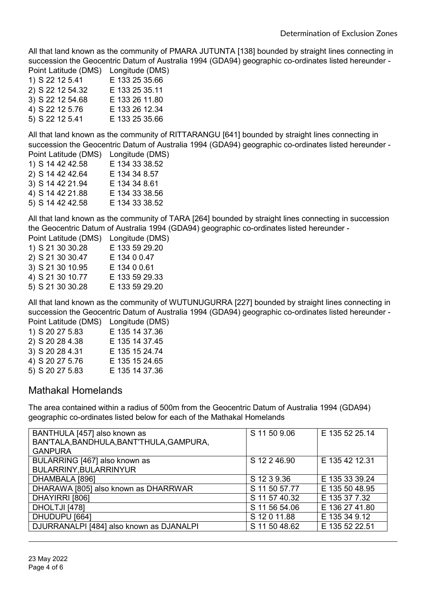All that land known as the community of PMARA JUTUNTA [138] bounded by straight lines connecting in succession the Geocentric Datum of Australia 1994 (GDA94) geographic co-ordinates listed hereunder - Point Latitude (DMS) Longitude (DMS)

| <b>PUTTLE LATITUDE</b> (DIVIS) | LUIIUUUT (DIVIO |
|--------------------------------|-----------------|
| 1) S 22 12 5.41                | E 133 25 35.66  |
| 2) S 22 12 54.32               | E 133 25 35.11  |
| 3) S 22 12 54.68               | E 133 26 11.80  |
| 4) S 22 12 5.76                | E 133 26 12.34  |
| 5) S 22 12 5.41                | E 133 25 35.66  |

All that land known as the community of RITTARANGU [641] bounded by straight lines connecting in succession the Geocentric Datum of Australia 1994 (GDA94) geographic co-ordinates listed hereunder - Point Latitude (DMS) Longitude (DMS)

| ן טוווג במנונטטר (דוווט ו | LUNG (DIVIO    |
|---------------------------|----------------|
| 1) S 14 42 42.58          | E 134 33 38.52 |
| 2) S 14 42 42.64          | E 134 34 8.57  |
| 3) S 14 42 21.94          | E 134 34 8.61  |
| 4) S 14 42 21.88          | E 134 33 38.56 |
| 5) S 14 42 42.58          | E 134 33 38.52 |
|                           |                |

All that land known as the community of TARA [264] bounded by straight lines connecting in succession the Geocentric Datum of Australia 1994 (GDA94) geographic co-ordinates listed hereunder -

| Point Latitude (DMS) | Longitude (DMS) |
|----------------------|-----------------|
| 1) S 21 30 30.28     | E 133 59 29.20  |
| 2) S 21 30 30.47     | E 134 0 0.47    |
| 3) S 21 30 10.95     | E 134 0 0.61    |
| 4) S 21 30 10.77     | E 133 59 29.33  |
| 5) S 21 30 30.28     | E 133 59 29.20  |
|                      |                 |

All that land known as the community of WUTUNUGURRA [227] bounded by straight lines connecting in succession the Geocentric Datum of Australia 1994 (GDA94) geographic co-ordinates listed hereunder - Point Latitude (DMS) Longitude (DMS)

| $\overline{1}$ viiit Latituut (Divio) | Lungnuut (Divio |
|---------------------------------------|-----------------|
| 1) S 20 27 5.83                       | E 135 14 37.36  |
| 2) S 20 28 4.38                       | E 135 14 37.45  |
| 3) S 20 28 4.31                       | E 135 15 24.74  |
| 4) S 20 27 5.76                       | E 135 15 24.65  |
| 5) S 20 27 5.83                       | E 135 14 37.36  |

#### Mathakal Homelands

The area contained within a radius of 500m from the Geocentric Datum of Australia 1994 (GDA94) geographic co-ordinates listed below for each of the Mathakal Homelands

| BANTHULA [457] also known as<br>BAN'TALA, BANDHULA, BANT'THULA, GAMPURA,<br><b>GANPURA</b> | S 11 50 9.06  | E 135 52 25.14 |
|--------------------------------------------------------------------------------------------|---------------|----------------|
| BULARRING [467] also known as                                                              | S 12 2 46.90  | E 135 42 12.31 |
| BULARRINY, BULARRINYUR                                                                     |               |                |
| DHAMBALA [896]                                                                             | S 12 3 9.36   | E 135 33 39.24 |
| DHARAWA [805] also known as DHARRWAR                                                       | S 11 50 57.77 | E 135 50 48.95 |
| DHAYIRRI [806]                                                                             | S 11 57 40.32 | E 135 37 7.32  |
| DHOLTJI [478]                                                                              | S 11 56 54.06 | E 136 27 41.80 |
| DHUDUPU [664]                                                                              | S 12 0 11.88  | E 135 34 9.12  |
| DJURRANALPI [484] also known as DJANALPI                                                   | S 11 50 48.62 | E 135 52 22.51 |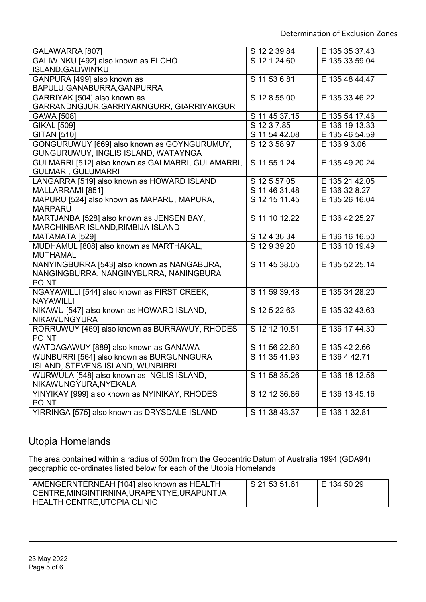| GALAWARRA [807]                                   | S 12 2 39.84  | E 135 35 37.43 |
|---------------------------------------------------|---------------|----------------|
| GALIWINKU [492] also known as ELCHO               | S 12 1 24.60  | E 135 33 59.04 |
| <b>ISLAND, GALIWIN'KU</b>                         |               |                |
| GANPURA [499] also known as                       | S 11 53 6.81  | E 135 48 44.47 |
| BAPULU, GANABURRA, GANPURRA                       |               |                |
| GARRIYAK [504] also known as                      | S 12 8 55.00  | E 135 33 46.22 |
| GARRANDNGJUR, GARRIYAKNGURR, GIARRIYAKGUR         |               |                |
| GAWA [508]                                        | S 11 45 37.15 | E 135 54 17.46 |
| <b>GIKAL [509]</b>                                | S 12 3 7.85   | E 136 19 13.33 |
| <b>GITAN [510]</b>                                | S 11 54 42.08 | E 135 46 54.59 |
| GONGURUWUY [669] also known as GOYNGURUMUY,       | S 12 3 58.97  | E 136 9 3.06   |
| GUNGURUWUY, INGLIS ISLAND, WATAYNGA               |               |                |
| GULMARRI [512] also known as GALMARRI, GULAMARRI, | S 11 55 1.24  | E 135 49 20.24 |
| <b>GULMARI, GULUMARRI</b>                         |               |                |
| LANGARRA [519] also known as HOWARD ISLAND        | S 12 5 57.05  | E 135 21 42.05 |
| MALLARRAMI [851]                                  | S 11 46 31.48 | E 136 32 8.27  |
| MAPURU [524] also known as MAPARU, MAPURA,        | S 12 15 11.45 | E 135 26 16.04 |
| <b>MARPARU</b>                                    |               |                |
| MARTJANBA [528] also known as JENSEN BAY,         | S 11 10 12.22 | E 136 42 25.27 |
| MARCHINBAR ISLAND, RIMBIJA ISLAND                 |               |                |
| MATAMATA [529]                                    | S 12 4 36.34  | E 136 16 16.50 |
| MUDHAMUL [808] also known as MARTHAKAL,           | S 12 9 39.20  | E 136 10 19.49 |
| <b>MUTHAMAL</b>                                   |               |                |
| NANYINGBURRA [543] also known as NANGABURA,       | S 11 45 38.05 | E 135 52 25.14 |
| NANGINGBURRA, NANGINYBURRA, NANINGBURA            |               |                |
| <b>POINT</b>                                      |               |                |
| NGAYAWILLI [544] also known as FIRST CREEK,       | S 11 59 39.48 | E 135 34 28.20 |
| <b>NAYAWILLI</b>                                  |               |                |
| NIKAWU [547] also known as HOWARD ISLAND,         | S 12 5 22.63  | E 135 32 43.63 |
| <b>NIKAWUNGYURA</b>                               |               |                |
| RORRUWUY [469] also known as BURRAWUY, RHODES     | S 12 12 10.51 | E 136 17 44.30 |
| <b>POINT</b>                                      |               |                |
| WATDAGAWUY [889] also known as GANAWA             | S 11 56 22.60 | E 135 42 2.66  |
| WUNBURRI [564] also known as BURGUNNGURA          | S 11 35 41.93 | E 136 4 42.71  |
| ISLAND, STEVENS ISLAND, WUNBIRRI                  |               |                |
| WURWULA [548] also known as INGLIS ISLAND,        | S 11 58 35.26 | E 136 18 12.56 |
| NIKAWUNGYURA, NYEKALA                             |               |                |
| YINYIKAY [999] also known as NYINIKAY, RHODES     | S 12 12 36.86 | E 136 13 45.16 |
| <b>POINT</b>                                      |               |                |
| YIRRINGA [575] also known as DRYSDALE ISLAND      | S 11 38 43.37 | E 136 1 32.81  |

## Utopia Homelands

The area contained within a radius of 500m from the Geocentric Datum of Australia 1994 (GDA94) geographic co-ordinates listed below for each of the Utopia Homelands

| AMENGERNTERNEAH [104] also known as HEALTH | S 21 53 51.61 | I E 134 50 29 |
|--------------------------------------------|---------------|---------------|
| CENTRE,MINGINTIRNINA,URAPENTYE,URAPUNTJA   |               |               |
| HEALTH CENTRE,UTOPIA CLINIC                |               |               |